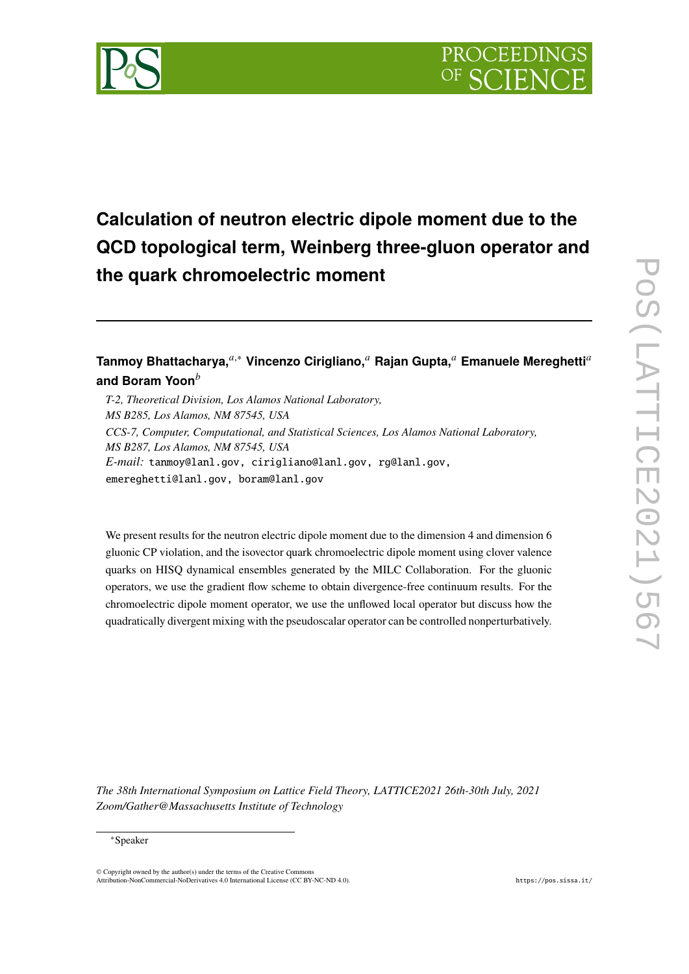

# **Calculation of neutron electric dipole moment due to the QCD topological term, Weinberg three-gluon operator and the quark chromoelectric moment**

## Tanmoy Bhattacharya,<sup>*a*,∗</sup> Vincenzo Cirigliano,<sup>*a*</sup> Rajan Gupta,<sup>*a*</sup> Emanuele Mereghetti<sup>*a*</sup> **and Boram Yoon**

*T-2, Theoretical Division, Los Alamos National Laboratory, MS B285, Los Alamos, NM 87545, USA CCS-7, Computer, Computational, and Statistical Sciences, Los Alamos National Laboratory, MS B287, Los Alamos, NM 87545, USA E-mail:* [tanmoy@lanl.gov,](mailto:tanmoy@lanl.gov) [cirigliano@lanl.gov,](mailto:cirigliano@lanl.gov) [rg@lanl.gov,](mailto:rg@lanl.gov) [emereghetti@lanl.gov,](mailto:emereghetti@lanl.gov) [boram@lanl.gov](mailto:boram@lanl.gov)

We present results for the neutron electric dipole moment due to the dimension 4 and dimension 6 gluonic CP violation, and the isovector quark chromoelectric dipole moment using clover valence quarks on HISQ dynamical ensembles generated by the MILC Collaboration. For the gluonic operators, we use the gradient flow scheme to obtain divergence-free continuum results. For the chromoelectric dipole moment operator, we use the unflowed local operator but discuss how the quadratically divergent mixing with the pseudoscalar operator can be controlled nonperturbatively.

*The 38th International Symposium on Lattice Field Theory, LATTICE2021 26th-30th July, 2021 Zoom/Gather@Massachusetts Institute of Technology*

#### ∗Speaker

© Copyright owned by the author(s) under the terms of the Creative Commons Attribution-NonCommercial-NoDerivatives 4.0 International License (CC BY-NC-ND 4.0). <https://pos.sissa.it/>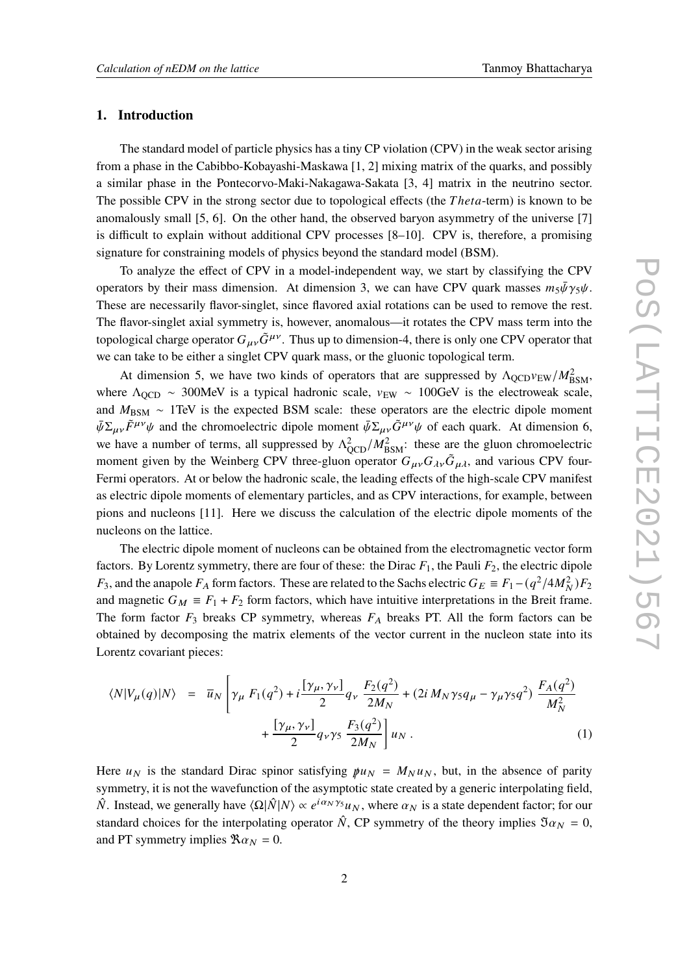#### **1. Introduction**

The standard model of particle physics has a tiny CP violation (CPV) in the weak sector arising from a phase in the Cabibbo-Kobayashi-Maskawa [\[1,](#page-8-0) [2\]](#page-8-1) mixing matrix of the quarks, and possibly a similar phase in the Pontecorvo-Maki-Nakagawa-Sakata [\[3,](#page-8-2) [4\]](#page-8-3) matrix in the neutrino sector. The possible CPV in the strong sector due to topological effects (the *Theta*-term) is known to be anomalously small [\[5,](#page-8-4) [6\]](#page-8-5). On the other hand, the observed baryon asymmetry of the universe [\[7\]](#page-8-6) is difficult to explain without additional CPV processes [\[8](#page-8-7)[–10\]](#page-8-8). CPV is, therefore, a promising signature for constraining models of physics beyond the standard model (BSM).

To analyze the effect of CPV in a model-independent way, we start by classifying the CPV operators by their mass dimension. At dimension 3, we can have CPV quark masses  $m_5\bar{\psi}\gamma_5\psi$ . These are necessarily flavor-singlet, since flavored axial rotations can be used to remove the rest. The flavor-singlet axial symmetry is, however, anomalous—it rotates the CPV mass term into the topological charge operator  $G_{\mu\nu}\tilde{G}^{\mu\nu}$ . Thus up to dimension-4, there is only one CPV operator that we can take to be either a singlet CPV quark mass, or the gluonic topological term.

At dimension 5, we have two kinds of operators that are suppressed by  $\Lambda_{\text{QCD}}v_{\text{EW}}/M_{\text{BSM}}^2$ , where  $\Lambda_{\text{QCD}} \sim 300 \text{MeV}$  is a typical hadronic scale,  $v_{\text{EW}} \sim 100 \text{GeV}$  is the electroweak scale, and  $M_{BSM} \sim 1$ TeV is the expected BSM scale: these operators are the electric dipole moment  $\bar{\psi} \Sigma_{\mu\nu} \tilde{F}^{\mu\nu} \psi$  and the chromoelectric dipole moment  $\bar{\psi} \Sigma_{\mu\nu} \tilde{G}^{\mu\nu} \psi$  of each quark. At dimension 6, we have a number of terms, all suppressed by  $\Lambda_{\text{OCD}}^2/M_{\text{BSM}}^2$ : these are the gluon chromoelectric moment given by the Weinberg CPV three-gluon operator  $G_{\mu\nu}G_{\lambda\nu}\tilde{G}_{\mu\lambda}$ , and various CPV four-Fermi operators. At or below the hadronic scale, the leading effects of the high-scale CPV manifest as electric dipole moments of elementary particles, and as CPV interactions, for example, between pions and nucleons [\[11\]](#page-8-9). Here we discuss the calculation of the electric dipole moments of the nucleons on the lattice.

The electric dipole moment of nucleons can be obtained from the electromagnetic vector form factors. By Lorentz symmetry, there are four of these: the Dirac  $F_1$ , the Pauli  $F_2$ , the electric dipole  $F_3$ , and the anapole  $F_A$  form factors. These are related to the Sachs electric  $G_E \equiv F_1 - (q^2/4M_N^2)F_2$ and magnetic  $G_M \equiv F_1 + F_2$  form factors, which have intuitive interpretations in the Breit frame. The form factor  $F_3$  breaks CP symmetry, whereas  $F_A$  breaks PT. All the form factors can be obtained by decomposing the matrix elements of the vector current in the nucleon state into its Lorentz covariant pieces:

$$
\langle N|V_{\mu}(q)|N\rangle = \overline{u}_{N} \left[ \gamma_{\mu} F_{1}(q^{2}) + i \frac{[\gamma_{\mu}, \gamma_{\nu}]}{2} q_{\nu} \frac{F_{2}(q^{2})}{2M_{N}} + (2i M_{N} \gamma_{5} q_{\mu} - \gamma_{\mu} \gamma_{5} q^{2}) \frac{F_{A}(q^{2})}{M_{N}^{2}} + \frac{[\gamma_{\mu}, \gamma_{\nu}]}{2} q_{\nu} \gamma_{5} \frac{F_{3}(q^{2})}{2M_{N}} \right] u_{N}.
$$
\n(1)

Here  $u_N$  is the standard Dirac spinor satisfying  $\mu u_N = M_N u_N$ , but, in the absence of parity symmetry, it is not the wavefunction of the asymptotic state created by a generic interpolating field,  $\hat{N}$ . Instead, we generally have  $\langle \Omega | \hat{N} | N \rangle \propto e^{i \alpha_N \gamma_5} u_N$ , where  $\alpha_N$  is a state dependent factor; for our standard choices for the interpolating operator  $\hat{N}$ , CP symmetry of the theory implies  $\Im \alpha_N = 0$ , and PT symmetry implies  $\Re \alpha_N = 0$ .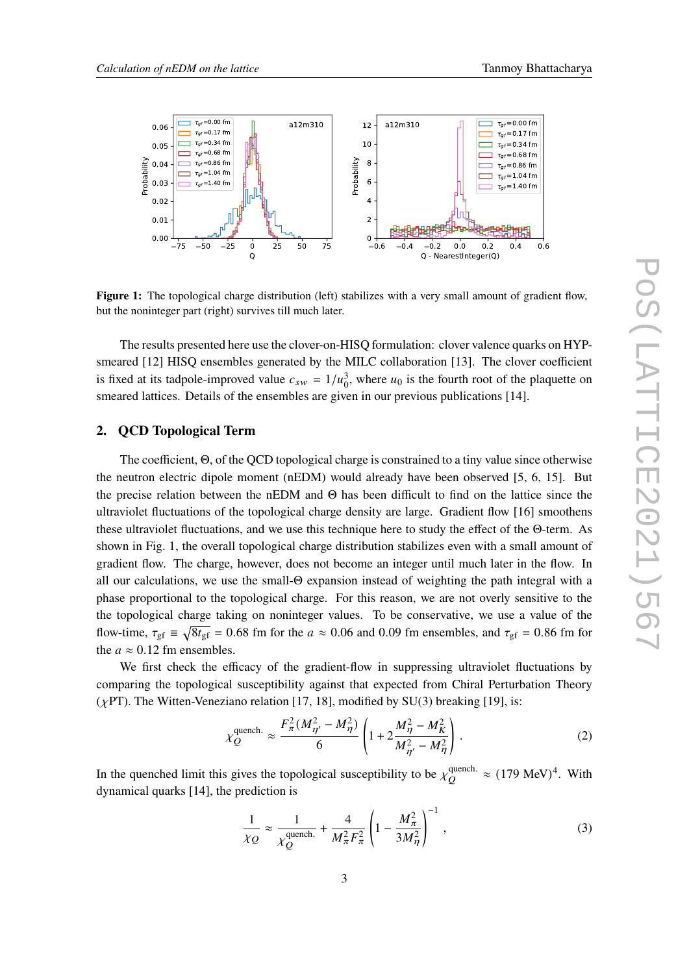<span id="page-2-0"></span>

**Figure 1:** The topological charge distribution (left) stabilizes with a very small amount of gradient flow, but the noninteger part (right) survives till much later.

The results presented here use the clover-on-HISQ formulation: clover valence quarks on HYP-smeared [\[12\]](#page-8-10) HISQ ensembles generated by the MILC collaboration [\[13\]](#page-8-11). The clover coefficient is fixed at its tadpole-improved value  $c_{sw} = 1/u_0^3$ , where  $u_0$  is the fourth root of the plaquette on smeared lattices. Details of the ensembles are given in our previous publications [\[14\]](#page-8-12).

#### **2. QCD Topological Term**

The coefficient, Θ, of the QCD topological charge is constrained to a tiny value since otherwise the neutron electric dipole moment (nEDM) would already have been observed [\[5,](#page-8-4) [6,](#page-8-5) [15\]](#page-8-13). But the precise relation between the nEDM and Θ has been difficult to find on the lattice since the ultraviolet fluctuations of the topological charge density are large. Gradient flow [\[16\]](#page-8-14) smoothens these ultraviolet fluctuations, and we use this technique here to study the effect of the Θ-term. As shown in Fig. [1,](#page-2-0) the overall topological charge distribution stabilizes even with a small amount of gradient flow. The charge, however, does not become an integer until much later in the flow. In all our calculations, we use the small-Θ expansion instead of weighting the path integral with a phase proportional to the topological charge. For this reason, we are not overly sensitive to the the topological charge taking on noninteger values. To be conservative, we use a value of the flow-time,  $\tau_{gf} \equiv \sqrt{8t_{gf}} = 0.68$  fm for the  $a \approx 0.06$  and 0.09 fm ensembles, and  $\tau_{gf} = 0.86$  fm for the  $a \approx 0.12$  fm ensembles.

We first check the efficacy of the gradient-flow in suppressing ultraviolet fluctuations by comparing the topological susceptibility against that expected from Chiral Perturbation Theory ( $\chi$ PT). The Witten-Veneziano relation [\[17,](#page-8-15) [18\]](#page-8-16), modified by SU(3) breaking [\[19\]](#page-8-17), is:

$$
\chi_Q^{\text{quench.}} \approx \frac{F_\pi^2 (M_{\eta'}^2 - M_{\eta}^2)}{6} \left( 1 + 2 \frac{M_{\eta}^2 - M_K^2}{M_{\eta'}^2 - M_{\eta}^2} \right). \tag{2}
$$

In the quenched limit this gives the topological susceptibility to be  $\chi^{\text{quench}}_{\alpha}$ .  $\frac{Q}{Q}$  (179 MeV)<sup>4</sup>. With dynamical quarks [\[14\]](#page-8-12), the prediction is

$$
\frac{1}{\chi_Q} \approx \frac{1}{\chi_Q^{\text{quench.}}} + \frac{4}{M_\pi^2 F_\pi^2} \left( 1 - \frac{M_\pi^2}{3M_\eta^2} \right)^{-1},\tag{3}
$$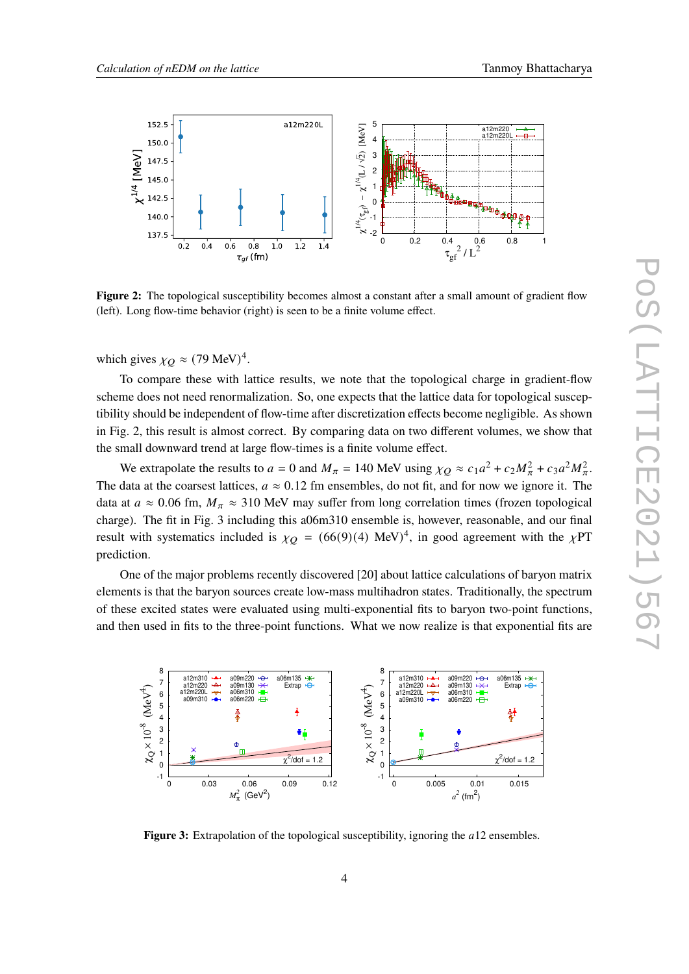<span id="page-3-0"></span>

**Figure 2:** The topological susceptibility becomes almost a constant after a small amount of gradient flow (left). Long flow-time behavior (right) is seen to be a finite volume effect.

which gives  $\chi_O \approx (79 \text{ MeV})^4$ .

To compare these with lattice results, we note that the topological charge in gradient-flow scheme does not need renormalization. So, one expects that the lattice data for topological susceptibility should be independent of flow-time after discretization effects become negligible. As shown in Fig. [2,](#page-3-0) this result is almost correct. By comparing data on two different volumes, we show that the small downward trend at large flow-times is a finite volume effect.

We extrapolate the results to  $a = 0$  and  $M_{\pi} = 140$  MeV using  $\chi_Q \approx c_1 a^2 + c_2 M_{\pi}^2 + c_3 a^2 M_{\pi}^2$ . The data at the coarsest lattices,  $a \approx 0.12$  fm ensembles, do not fit, and for now we ignore it. The data at  $a \approx 0.06$  fm,  $M_\pi \approx 310$  MeV may suffer from long correlation times (frozen topological charge). The fit in Fig. [3](#page-3-1) including this a06m310 ensemble is, however, reasonable, and our final result with systematics included is  $\chi_O = (66(9)(4) \text{ MeV})^4$ , in good agreement with the  $\chi PT$ prediction.

One of the major problems recently discovered [\[20\]](#page-8-18) about lattice calculations of baryon matrix elements is that the baryon sources create low-mass multihadron states. Traditionally, the spectrum of these excited states were evaluated using multi-exponential fits to baryon two-point functions, and then used in fits to the three-point functions. What we now realize is that exponential fits are

<span id="page-3-1"></span>

**Figure 3:** Extrapolation of the topological susceptibility, ignoring the a12 ensembles.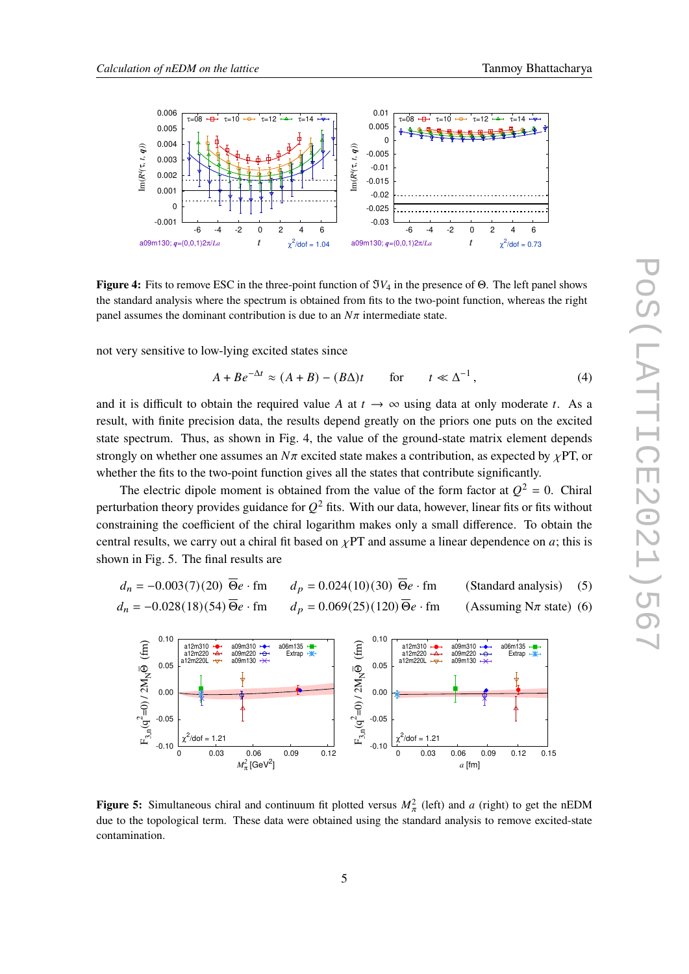<span id="page-4-0"></span>

**Figure 4:** Fits to remove ESC in the three-point function of  $\Im V_4$  in the presence of Θ. The left panel shows the standard analysis where the spectrum is obtained from fits to the two-point function, whereas the right panel assumes the dominant contribution is due to an  $N\pi$  intermediate state.

not very sensitive to low-lying excited states since

$$
A + Be^{-\Delta t} \approx (A + B) - (B\Delta)t \qquad \text{for} \qquad t \ll \Delta^{-1}, \tag{4}
$$

and it is difficult to obtain the required value A at  $t \to \infty$  using data at only moderate t. As a result, with finite precision data, the results depend greatly on the priors one puts on the excited state spectrum. Thus, as shown in Fig. [4,](#page-4-0) the value of the ground-state matrix element depends strongly on whether one assumes an  $N\pi$  excited state makes a contribution, as expected by  $\chi$ PT, or whether the fits to the two-point function gives all the states that contribute significantly.

The electric dipole moment is obtained from the value of the form factor at  $Q^2 = 0$ . Chiral perturbation theory provides guidance for  $O^2$  fits. With our data, however, linear fits or fits without constraining the coefficient of the chiral logarithm makes only a small difference. To obtain the central results, we carry out a chiral fit based on  $\chi PT$  and assume a linear dependence on a; this is shown in Fig. [5.](#page-4-1) The final results are

$$
d_n = -0.003(7)(20) \overline{\Theta}e \cdot \text{fm} \qquad d_p = 0.024(10)(30) \overline{\Theta}e \cdot \text{fm} \qquad \text{(Standard analysis)} \tag{5}
$$
  

$$
d_n = -0.028(18)(54) \overline{\Theta}e \cdot \text{fm} \qquad d_p = 0.069(25)(120) \overline{\Theta}e \cdot \text{fm} \qquad \text{(Assuming N$\pi$ state)} \tag{6}
$$

<span id="page-4-1"></span>

**Figure 5:** Simultaneous chiral and continuum fit plotted versus  $M_\pi^2$  (left) and a (right) to get the nEDM due to the topological term. These data were obtained using the standard analysis to remove excited-state contamination.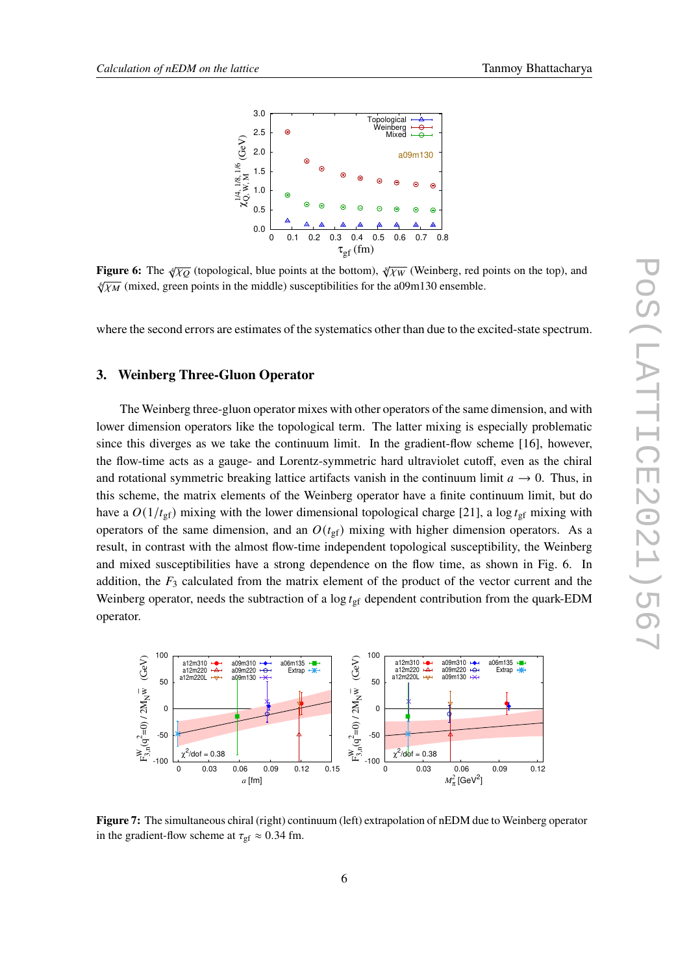<span id="page-5-0"></span>

**Figure 6:** The  $\sqrt[4]{\chi_Q}$  (topological, blue points at the bottom),  $\sqrt[8]{\chi_W}$  (Weinberg, red points on the top), and  $\sqrt{x_M}$  (mixed, green points in the middle) susceptibilities for the a09m130 ensemble.

where the second errors are estimates of the systematics other than due to the excited-state spectrum.

### **3. Weinberg Three-Gluon Operator**

The Weinberg three-gluon operator mixes with other operators of the same dimension, and with lower dimension operators like the topological term. The latter mixing is especially problematic since this diverges as we take the continuum limit. In the gradient-flow scheme [\[16\]](#page-8-14), however, the flow-time acts as a gauge- and Lorentz-symmetric hard ultraviolet cutoff, even as the chiral and rotational symmetric breaking lattice artifacts vanish in the continuum limit  $a \rightarrow 0$ . Thus, in this scheme, the matrix elements of the Weinberg operator have a finite continuum limit, but do have a  $O(1/t<sub>gf</sub>)$  mixing with the lower dimensional topological charge [\[21\]](#page-8-19), a log  $t<sub>gf</sub>$  mixing with operators of the same dimension, and an  $O(t_{\text{gf}})$  mixing with higher dimension operators. As a result, in contrast with the almost flow-time independent topological susceptibility, the Weinberg and mixed susceptibilities have a strong dependence on the flow time, as shown in Fig. [6.](#page-5-0) In addition, the  $F_3$  calculated from the matrix element of the product of the vector current and the Weinberg operator, needs the subtraction of a  $\log t_{\rm gf}$  dependent contribution from the quark-EDM operator.

<span id="page-5-1"></span>

**Figure 7:** The simultaneous chiral (right) continuum (left) extrapolation of nEDM due to Weinberg operator in the gradient-flow scheme at  $\tau_{\text{gf}} \approx 0.34$  fm.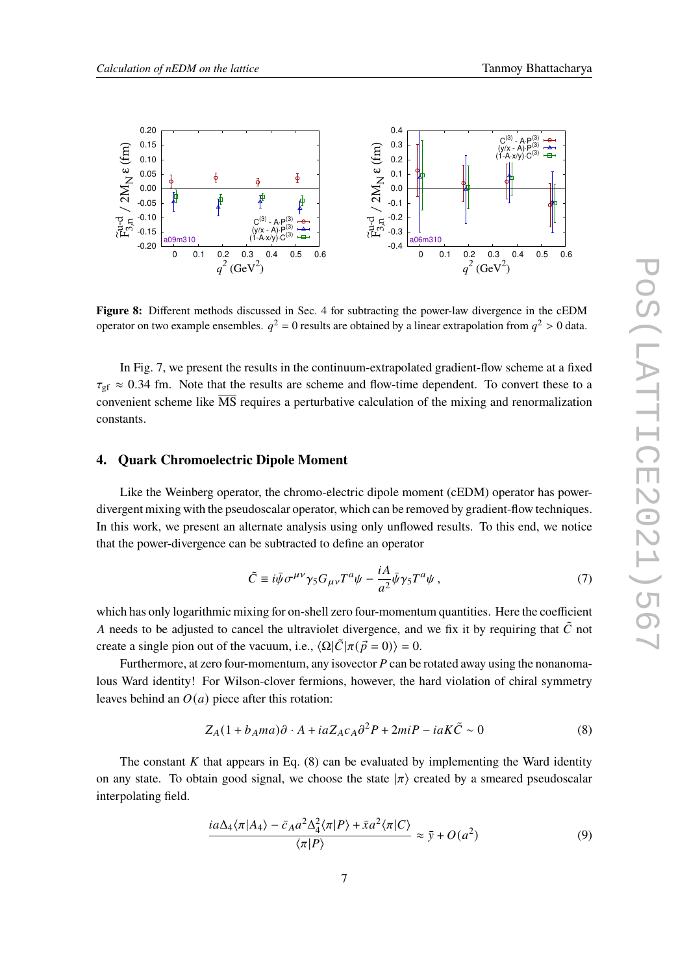<span id="page-6-2"></span>

**Figure 8:** Different methods discussed in Sec. [4](#page-6-0) for subtracting the power-law divergence in the cEDM operator on two example ensembles.  $q^2 = 0$  results are obtained by a linear extrapolation from  $q^2 > 0$  data.

In Fig. [7,](#page-5-1) we present the results in the continuum-extrapolated gradient-flow scheme at a fixed  $\tau_{\text{gf}} \approx 0.34$  fm. Note that the results are scheme and flow-time dependent. To convert these to a convenient scheme like  $\overline{\text{MS}}$  requires a perturbative calculation of the mixing and renormalization constants.

#### <span id="page-6-0"></span>**4. Quark Chromoelectric Dipole Moment**

Like the Weinberg operator, the chromo-electric dipole moment (cEDM) operator has powerdivergent mixing with the pseudoscalar operator, which can be removed by gradient-flow techniques. In this work, we present an alternate analysis using only unflowed results. To this end, we notice that the power-divergence can be subtracted to define an operator

$$
\tilde{C} \equiv i\bar{\psi}\sigma^{\mu\nu}\gamma_5 G_{\mu\nu}T^a\psi - \frac{iA}{a^2}\bar{\psi}\gamma_5 T^a\psi\,,\tag{7}
$$

which has only logarithmic mixing for on-shell zero four-momentum quantities. Here the coefficient A needs to be adjusted to cancel the ultraviolet divergence, and we fix it by requiring that  $\tilde{C}$  not create a single pion out of the vacuum, i.e.,  $\langle \Omega | \tilde{C} | \pi (\vec{p} = 0) \rangle = 0$ .

Furthermore, at zero four-momentum, any isovector  $P$  can be rotated away using the nonanomalous Ward identity! For Wilson-clover fermions, however, the hard violation of chiral symmetry leaves behind an  $O(a)$  piece after this rotation:

<span id="page-6-1"></span>
$$
Z_A(1 + b_A ma)\partial \cdot A + iaZ_{ACA}\partial^2 P + 2miP - iaK\tilde{C} \sim 0
$$
 (8)

The constant  $K$  that appears in Eq. [\(8\)](#page-6-1) can be evaluated by implementing the Ward identity on any state. To obtain good signal, we choose the state  $|\pi\rangle$  created by a smeared pseudoscalar interpolating field.

$$
\frac{ia\Delta_4\langle\pi|A_4\rangle - \bar{c}_Aa^2\Delta_4^2\langle\pi|P\rangle + \bar{x}a^2\langle\pi|C\rangle}{\langle\pi|P\rangle} \approx \bar{y} + O(a^2)
$$
\n(9)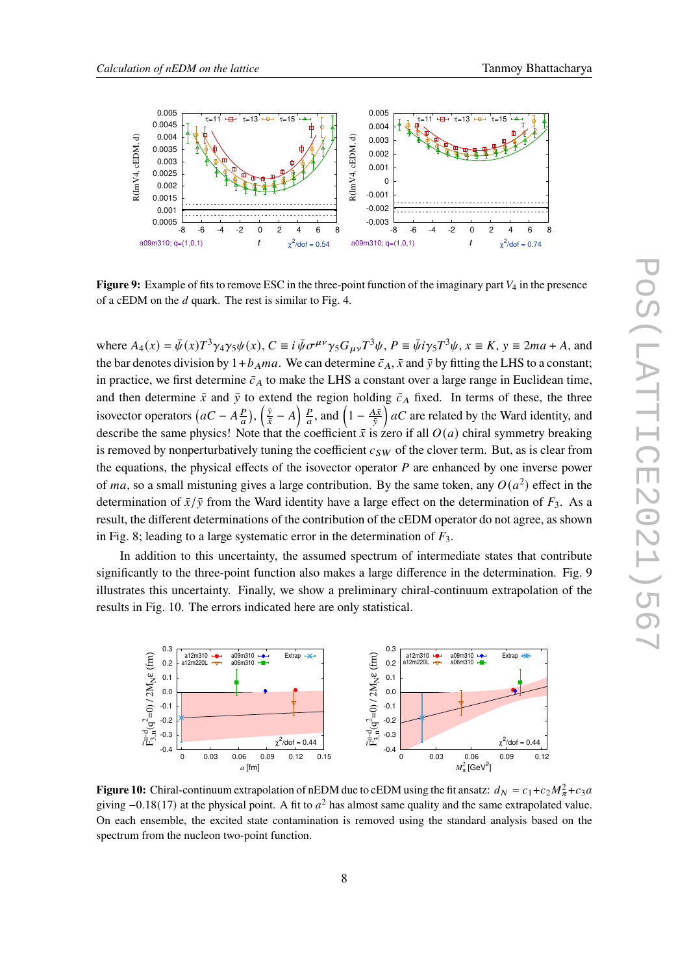<span id="page-7-0"></span>

**Figure 9:** Example of fits to remove ESC in the three-point function of the imaginary part  $V_4$  in the presence of a cEDM on the  $d$  quark. The rest is similar to Fig. [4.](#page-4-0)

where  $A_4(x) = \bar{\psi}(x)T^3\gamma_4\gamma_5\psi(x)$ ,  $C \equiv i \bar{\psi}\sigma^{\mu\nu}\gamma_5 G_{\mu\nu}T^3\psi$ ,  $P \equiv \bar{\psi}i\gamma_5T^3\psi$ ,  $x \equiv K$ ,  $y \equiv 2ma + A$ , and the bar denotes division by  $1+b_A ma$ . We can determine  $\bar{c}_A$ ,  $\bar{x}$  and  $\bar{y}$  by fitting the LHS to a constant; in practice, we first determine  $\bar{c}_A$  to make the LHS a constant over a large range in Euclidean time, and then determine  $\bar{x}$  and  $\bar{y}$  to extend the region holding  $\bar{c}_A$  fixed. In terms of these, the three isovector operators  $(aC - A\frac{P}{q})$  $(\frac{p}{\bar{x}}), (\frac{\bar{y}}{\bar{x}})$  $\frac{\bar{y}}{\bar{x}} - A \frac{P}{a}$  $\frac{P}{a}$ , and  $\left(1 - \frac{A\bar{x}}{\bar{y}}\right)$  $\frac{\Delta \bar{x}}{\bar{y}}$  ac are related by the Ward identity, and describe the same physics! Note that the coefficient  $\bar{x}$  is zero if all  $O(a)$  chiral symmetry breaking is removed by nonperturbatively tuning the coefficient  $c_{SW}$  of the clover term. But, as is clear from the equations, the physical effects of the isovector operator  $P$  are enhanced by one inverse power of ma, so a small mistuning gives a large contribution. By the same token, any  $O(a^2)$  effect in the determination of  $\bar{x}/\bar{y}$  from the Ward identity have a large effect on the determination of  $F_3$ . As a result, the different determinations of the contribution of the cEDM operator do not agree, as shown in Fig. [8;](#page-6-2) leading to a large systematic error in the determination of  $F_3$ .

In addition to this uncertainty, the assumed spectrum of intermediate states that contribute significantly to the three-point function also makes a large difference in the determination. Fig. [9](#page-7-0) illustrates this uncertainty. Finally, we show a preliminary chiral-continuum extrapolation of the results in Fig. [10.](#page-7-1) The errors indicated here are only statistical.

<span id="page-7-1"></span>

**Figure 10:** Chiral-continuum extrapolation of nEDM due to cEDM using the fit ansatz:  $d_N = c_1 + c_2 M_\pi^2 + c_3 a$ giving  $-0.18(17)$  at the physical point. A fit to  $a^2$  has almost same quality and the same extrapolated value. On each ensemble, the excited state contamination is removed using the standard analysis based on the spectrum from the nucleon two-point function.